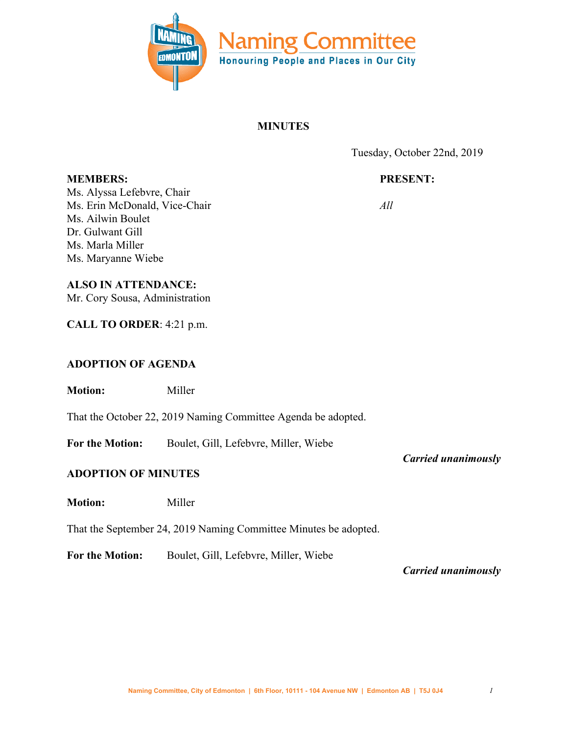

### **MINUTES**

Tuesday, October 22nd, 2019

# **PRESENT:**

*All*

**MEMBERS:** Ms. Alyssa Lefebvre, Chair Ms. Erin McDonald, Vice-Chair Ms. Ailwin Boulet Dr. Gulwant Gill Ms. Marla Miller Ms. Maryanne Wiebe

## **ALSO IN ATTENDANCE:**

Mr. Cory Sousa, Administration

**CALL TO ORDER**: 4:21 p.m.

### **ADOPTION OF AGENDA**

**Motion:** Miller

That the October 22, 2019 Naming Committee Agenda be adopted.

**For the Motion:** Boulet, Gill, Lefebvre, Miller, Wiebe

#### **ADOPTION OF MINUTES**

**Motion:** Miller

That the September 24, 2019 Naming Committee Minutes be adopted.

**For the Motion:** Boulet, Gill, Lefebvre, Miller, Wiebe

*Carried unanimously*

*Carried unanimously*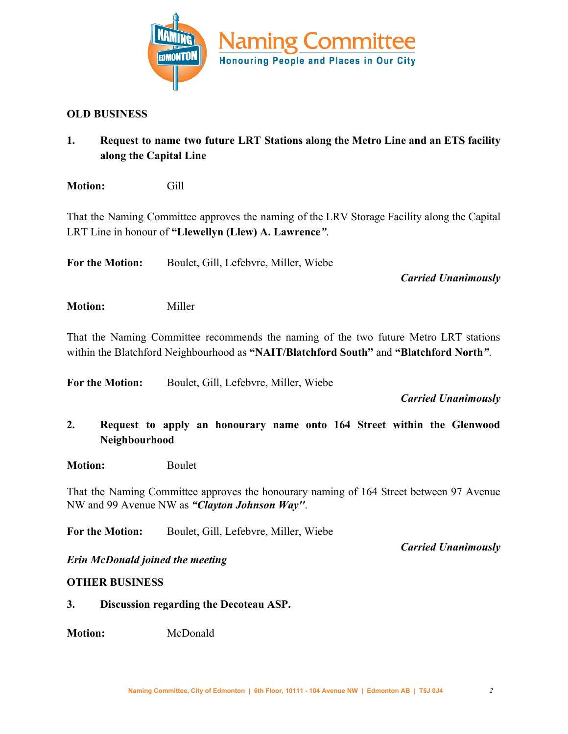

#### **OLD BUSINESS**

- **1. Request to name two future LRT Stations along the Metro Line and an ETS facility along the Capital Line**
- **Motion:** Gill

That the Naming Committee approves the naming of the LRV Storage Facility along the Capital LRT Line in honour of **"Llewellyn (Llew) A. Lawrence***"*.

**For the Motion:** Boulet, Gill, Lefebvre, Miller, Wiebe

*Carried Unanimously*

**Motion:** Miller

That the Naming Committee recommends the naming of the two future Metro LRT stations within the Blatchford Neighbourhood as **"NAIT/Blatchford South"** and **"Blatchford North***"*.

**For the Motion:** Boulet, Gill, Lefebvre, Miller, Wiebe

*Carried Unanimously*

- **2. Request to apply an honourary name onto 164 Street within the Glenwood Neighbourhood**
- **Motion:** Boulet

That the Naming Committee approves the honourary naming of 164 Street between 97 Avenue NW and 99 Avenue NW as *"Clayton Johnson Way''*.

**For the Motion:** Boulet, Gill, Lefebvre, Miller, Wiebe

*Carried Unanimously*

*Erin McDonald joined the meeting*

#### **OTHER BUSINESS**

**3. Discussion regarding the Decoteau ASP.**

**Motion:** McDonald